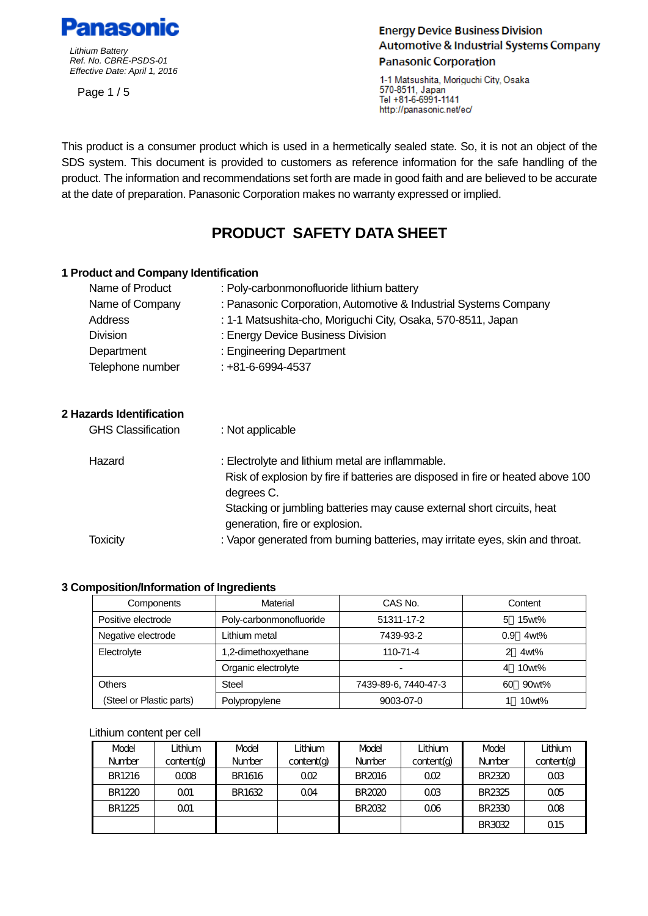

Page 1 / 5

# **Energy Device Business Division Automotive & Industrial Systems Company Panasonic Corporation**

1-1 Matsushita, Moriquchi City, Osaka 570-8511, Japan Tel +81-6-6991-1141 http://panasonic.net/ec/

 This product is a consumer product which is used in a hermetically sealed state. So, it is not an object of the SDS system. This document is provided to customers as reference information for the safe handling of the product. The information and recommendations set forth are made in good faith and are believed to be accurate at the date of preparation. Panasonic Corporation makes no warranty expressed or implied.

# **PRODUCT SAFETY DATA SHEET**

#### **1 Product and Company Identification**

| Name of Product  | : Poly-carbonmonofluoride lithium battery                        |
|------------------|------------------------------------------------------------------|
| Name of Company  | : Panasonic Corporation, Automotive & Industrial Systems Company |
| Address          | : 1-1 Matsushita-cho, Moriguchi City, Osaka, 570-8511, Japan     |
| <b>Division</b>  | : Energy Device Business Division                                |
| Department       | : Engineering Department                                         |
| Telephone number | $: +81 - 6 - 6994 - 4537$                                        |

# **2 Hazards Identification**

| <b>GHS Classification</b> | : Not applicable                                                                                                                    |
|---------------------------|-------------------------------------------------------------------------------------------------------------------------------------|
| Hazard                    | : Electrolyte and lithium metal are inflammable.<br>Risk of explosion by fire if batteries are disposed in fire or heated above 100 |
|                           | degrees C.<br>Stacking or jumbling batteries may cause external short circuits, heat                                                |
|                           | generation, fire or explosion.                                                                                                      |
| <b>Toxicity</b>           | : Vapor generated from burning batteries, may irritate eyes, skin and throat.                                                       |

# **3 Composition/Information of Ingredients**

| Components               | Material                | CAS No.              | Content     |  |
|--------------------------|-------------------------|----------------------|-------------|--|
| Positive electrode       | Poly-carbonmonofluoride | 51311-17-2           | 15wt%<br>5  |  |
| Negative electrode       | Lithium metal           | 7439-93-2            | 4wt%<br>0.9 |  |
| Electrolyte              | 1,2-dimethoxyethane     | $110 - 71 - 4$       | 4wt%        |  |
|                          | Organic electrolyte     | -                    | 10wt%<br>4  |  |
| <b>Others</b>            | <b>Steel</b>            | 7439-89-6, 7440-47-3 | 90wt%<br>60 |  |
| (Steel or Plastic parts) | Polypropylene           | 9003-07-0            | 10wt%       |  |

#### Lithium content per cell

| Model         | Lithium    | Model         | Lithium        | <b>Model</b>  | Lithium        | Model         | Lithium         |
|---------------|------------|---------------|----------------|---------------|----------------|---------------|-----------------|
| <b>Number</b> | content(q) | <b>Number</b> | content(a)     | <b>Number</b> | content(a)     | Number        | content(g)      |
| BR1216        | 0008       | BR1616        | 002            | <b>BR2016</b> | 002            | BR2320        | 0 <sup>0</sup>  |
| BR1220        | QΟ1        | BR1632        | 0 <sub>0</sub> | <b>BR2020</b> | 0 <sup>0</sup> | BR2325        | 00 <sub>5</sub> |
| BR1225        | 001        |               |                | BR2032        | 006            | BR2330        | 008             |
|               |            |               |                |               |                | <b>BR3032</b> | 0.15            |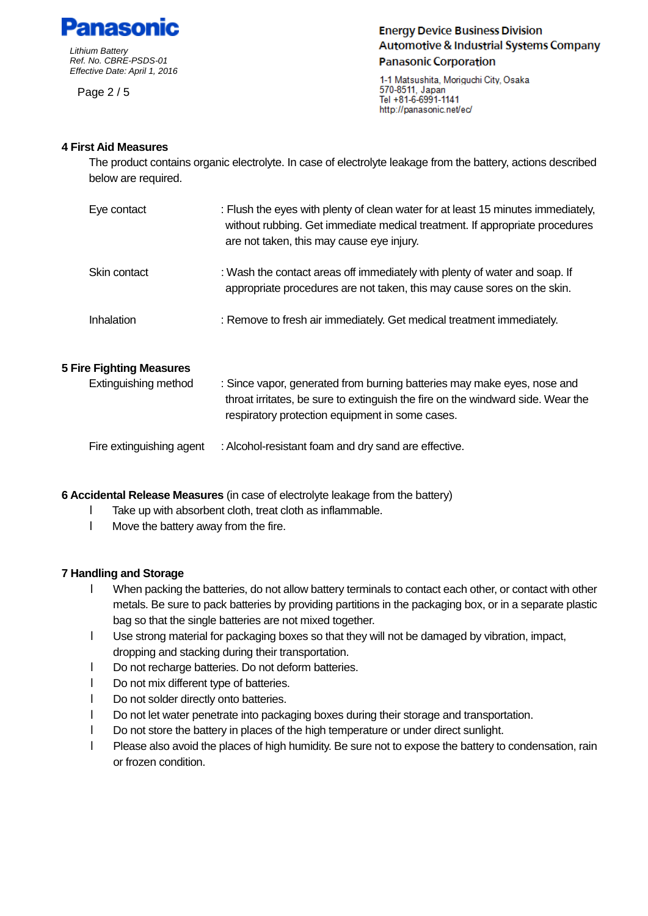

Page 2 / 5

**Energy Device Business Division Automotive & Industrial Systems Company Panasonic Corporation** 

1-1 Matsushita, Moriguchi City, Osaka 570-8511, Japan Tel +81-6-6991-1141 http://panasonic.net/ec/

## **4 First Aid Measures**

The product contains organic electrolyte. In case of electrolyte leakage from the battery, actions described below are required.

| Eye contact  | : Flush the eyes with plenty of clean water for at least 15 minutes immediately,<br>without rubbing. Get immediate medical treatment. If appropriate procedures<br>are not taken, this may cause eye injury. |
|--------------|--------------------------------------------------------------------------------------------------------------------------------------------------------------------------------------------------------------|
| Skin contact | : Wash the contact areas off immediately with plenty of water and soap. If<br>appropriate procedures are not taken, this may cause sores on the skin.                                                        |
| Inhalation   | : Remove to fresh air immediately. Get medical treatment immediately.                                                                                                                                        |

#### **5 Fire Fighting Measures**

| Extinguishing method     | : Since vapor, generated from burning batteries may make eyes, nose and<br>throat irritates, be sure to extinguish the fire on the windward side. Wear the<br>respiratory protection equipment in some cases. |
|--------------------------|---------------------------------------------------------------------------------------------------------------------------------------------------------------------------------------------------------------|
| Fire extinguishing agent | : Alcohol-resistant foam and dry sand are effective.                                                                                                                                                          |

**6 Accidental Release Measures** (in case of electrolyte leakage from the battery)

- **I** Take up with absorbent cloth, treat cloth as inflammable.
- **I** Move the battery away from the fire.

#### **7 Handling and Storage**

- **I** When packing the batteries, do not allow battery terminals to contact each other, or contact with other bag so that the single batteries are not mixed together. metals. Be sure to pack batteries by providing partitions in the packaging box, or in a separate plastic
- **I** Use strong material for packaging boxes so that they will not be damaged by vibration, impact, dropping and stacking during their transportation.
- **I** Do not recharge batteries. Do not deform batteries.
- **I** Do not mix different type of batteries.
- **I** Do not solder directly onto batteries.
- **I** Do not let water penetrate into packaging boxes during their storage and transportation.
- **I** Do not store the battery in places of the high temperature or under direct sunlight.
- **I** Please also avoid the places of high humidity. Be sure not to expose the battery to condensation, rain or frozen condition.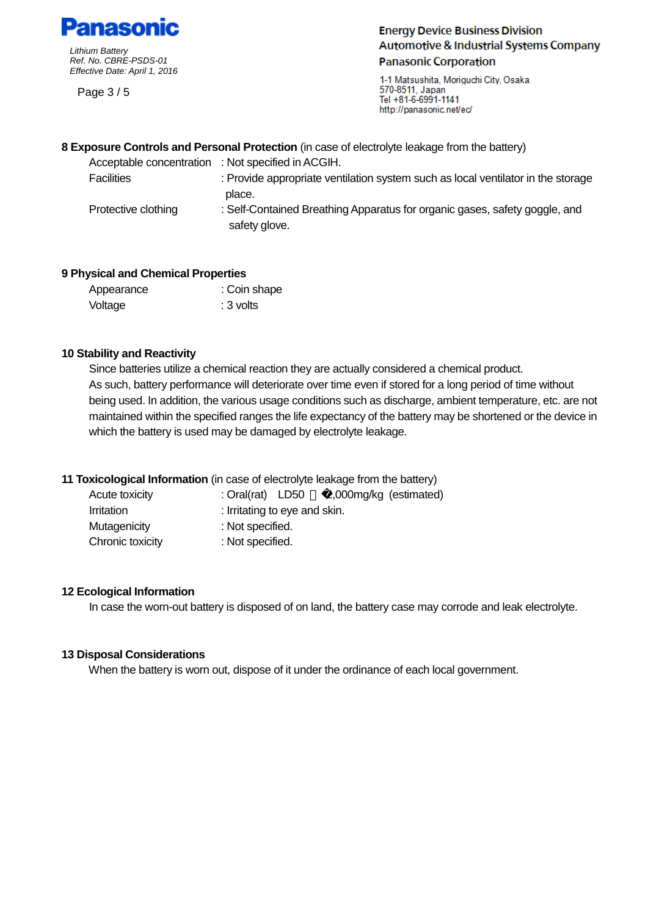

Page 3 / 5

**Energy Device Business Division Automotive & Industrial Systems Company Panasonic Corporation** 

1-1 Matsushita, Moriguchi City, Osaka 570-8511, Japan Tel +81-6-6991-1141 http://panasonic.net/ec/

#### **8 Exposure Controls and Personal Protection** (in case of electrolyte leakage from the battery)

 safety glove. Acceptable concentration : Not specified in ACGIH. Facilities : Provide appropriate ventilation system such as local ventilator in the storage place.<br>Protective clothing : Self-Contained Breathing Apparatus for organic gases, safety goggle, and

#### **9 Physical and Chemical Properties**

| Appearance | : Coin shape |
|------------|--------------|
| Voltage    | : 3 volts    |

#### **10 Stability and Reactivity**

Since batteries utilize a chemical reaction they are actually considered a chemical product. As such, battery performance will deteriorate over time even if stored for a long period of time without being used. In addition, the various usage conditions such as discharge, ambient temperature, etc. are not maintained within the specified ranges the life expectancy of the battery may be shortened or the device in which the battery is used may be damaged by electrolyte leakage.

# **11 Toxicological Information** (in case of electrolyte leakage from the battery)

| Acute toxicity    | : Oral(rat) $LD50$            | 2,000mg/kg (estimated) |
|-------------------|-------------------------------|------------------------|
| <i>Irritation</i> | : Irritating to eye and skin. |                        |
| Mutagenicity      | : Not specified.              |                        |
| Chronic toxicity  | : Not specified.              |                        |

#### **12 Ecological Information**

In case the worn-out battery is disposed of on land, the battery case may corrode and leak electrolyte.

#### **13 Disposal Considerations**

When the battery is worn out, dispose of it under the ordinance of each local government.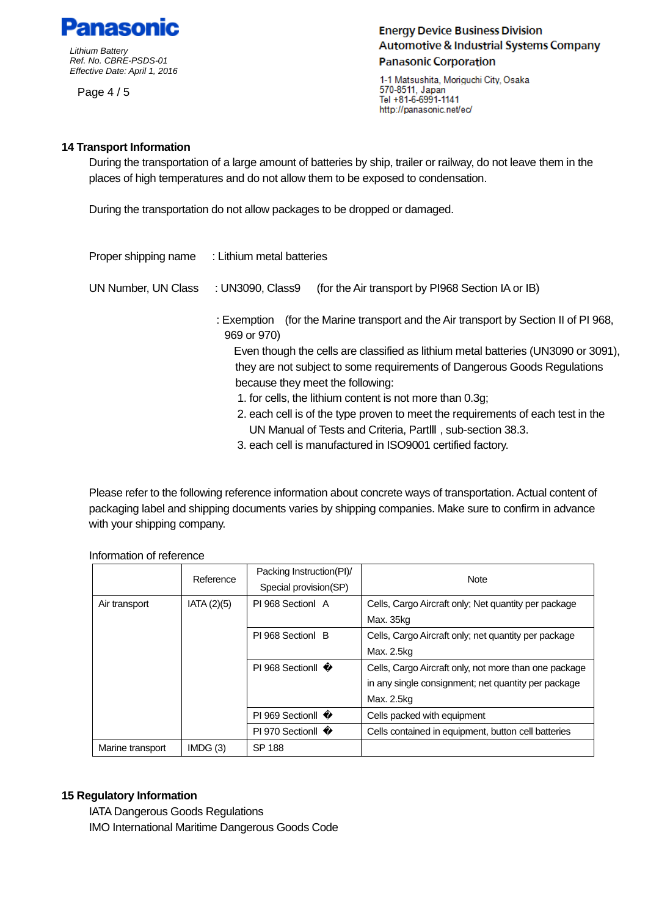

Page 4 / 5

**Energy Device Business Division Automotive & Industrial Systems Company Panasonic Corporation** 

1-1 Matsushita, Moriquchi City, Osaka 570-8511, Japan Tel +81-6-6991-1141 http://panasonic.net/ec/

## **14 Transport Information**

During the transportation of a large amount of batteries by ship, trailer or railway, do not leave them in the places of high temperatures and do not allow them to be exposed to condensation.

During the transportation do not allow packages to be dropped or damaged.

| Proper shipping name | : Lithium metal batteries                                                                              |  |  |  |
|----------------------|--------------------------------------------------------------------------------------------------------|--|--|--|
| UN Number, UN Class  | (for the Air transport by PI968 Section IA or IB)<br>: UN3090, Class9                                  |  |  |  |
|                      | (for the Marine transport and the Air transport by Section II of PI 968,<br>: Exemption<br>969 or 970) |  |  |  |
|                      | Even though the cells are classified as lithium metal batteries (UN3090 or 3091),                      |  |  |  |
|                      | they are not subject to some requirements of Dangerous Goods Regulations                               |  |  |  |
|                      | because they meet the following:                                                                       |  |  |  |
|                      | 1. for cells, the lithium content is not more than 0.3g;                                               |  |  |  |
|                      | 2. each cell is of the type proven to meet the requirements of each test in the                        |  |  |  |
|                      | UN Manual of Tests and Criteria, Part, sub-section 38.3.                                               |  |  |  |
|                      | 2. a she e all in mean the student in ICO0004, se stilie die stem :                                    |  |  |  |

3. each cell is manufactured in ISO9001 certified factory.

 packaging label and shipping documents varies by shipping companies. Make sure to confirm in advance with your shipping company. Please refer to the following reference information about concrete ways of transportation. Actual content of

|                  | Reference  | Packing Instruction(PI)/<br>Special provision(SP) | <b>Note</b>                                           |
|------------------|------------|---------------------------------------------------|-------------------------------------------------------|
| Air transport    | IATA(2)(5) | PI 968 Section A                                  | Cells, Cargo Aircraft only; Net quantity per package  |
|                  |            |                                                   | Max. 35kg                                             |
|                  |            | PI 968 Section B                                  | Cells, Cargo Aircraft only; net quantity per package  |
|                  |            |                                                   | Max. 2.5kg                                            |
|                  |            | PI 968 Section                                    | Cells, Cargo Aircraft only, not more than one package |
|                  |            |                                                   | in any single consignment; net quantity per package   |
|                  |            |                                                   | Max. 2.5kg                                            |
|                  |            | PI 969 Section                                    | Cells packed with equipment                           |
|                  |            | PI 970 Section                                    | Cells contained in equipment, button cell batteries   |
| Marine transport | IMDG(3)    | SP 188                                            |                                                       |

Information of reference

#### **15 Regulatory Information**

IATA Dangerous Goods Regulations IMO International Maritime Dangerous Goods Code